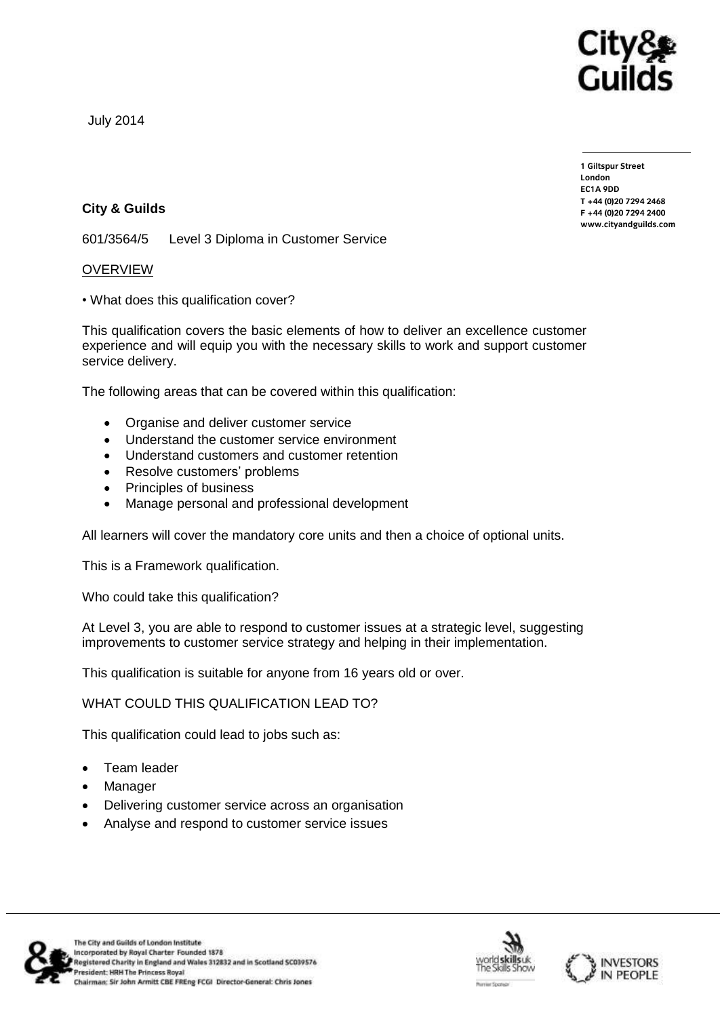

July 2014

**1 Giltspur Street EC1A 9DD**  $T + 44 (0)20 7294 2468$ **T +44 (0)20 7294 246[8](http://www.cityandguilds.com/)**  $www.cityandguilds.com$ 

**[www.cityandguilds.com](http://www.cityandguilds.com/)**

## **City & Guilds**

601/3564/5 Level 3 Diploma in Customer Service

## OVERVIEW

• What does this qualification cover?

This qualification covers the basic elements of how to deliver an excellence customer experience and will equip you with the necessary skills to work and support customer service delivery.

The following areas that can be covered within this qualification:

- Organise and deliver customer service
- Understand the customer service environment
- Understand customers and customer retention
- Resolve customers' problems
- Principles of business
- Manage personal and professional development

All learners will cover the mandatory core units and then a choice of optional units.

This is a Framework qualification.

Who could take this qualification?

At Level 3, you are able to respond to customer issues at a strategic level, suggesting improvements to customer service strategy and helping in their implementation.

This qualification is suitable for anyone from 16 years old or over.

WHAT COULD THIS QUALIFICATION LEAD TO?

This qualification could lead to jobs such as:

- Team leader
- Manager
- Delivering customer service across an organisation
- Analyse and respond to customer service issues